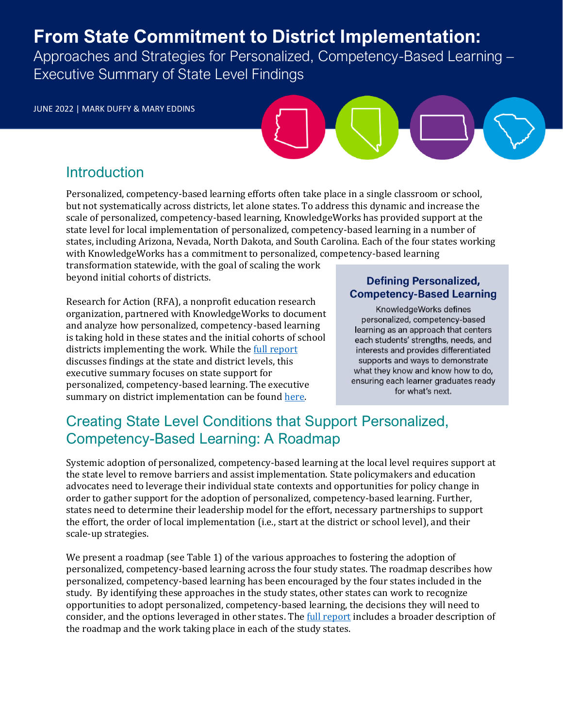# From State Commitment to District Implementation:

Approaches and Strategies for Personalized, Competency-Based Learning – Executive Summary of State Level Findings

JUNE 2022 | MARK DUFFY & MARY EDDINS

### **Introduction**

Personalized, competency-based learning efforts often take place in a single classroom or school, but not systematically across districts, let alone states. To address this dynamic and increase the scale of personalized, competency-based learning, KnowledgeWorks has provided support at the state level for local implementation of personalized, competency-based learning in a number of states, including Arizona, Nevada, North Dakota, and South Carolina. Each of the four states working with KnowledgeWorks has a commitment to personalized, competency-based learning

transformation statewide, with the goal of scaling the work beyond initial cohorts of districts.

Research for Action (RFA), a nonprofit education research organization, partnered with KnowledgeWorks to document and analyze how personalized, competency-based learning is taking hold in these states and the initial cohorts of school districts implementing the work. While th[e full report](http://researchforaction.org/knowledgeworks2022) discusses findings at the state and district levels, this executive summary focuses on state support for personalized, competency-based learning. The executive summary on district implementation can be foun[d here.](http://researchforaction.org/districtes)

#### **Defining Personalized, Competency-Based Learning**

KnowledgeWorks defines personalized, competency-based learning as an approach that centers each students' strengths, needs, and interests and provides differentiated supports and ways to demonstrate what they know and know how to do, ensuring each learner graduates ready for what's next.

# Creating State Level Conditions that Support Personalized, Competency-Based Learning: A Roadmap

Systemic adoption of personalized, competency-based learning at the local level requires support at the state level to remove barriers and assist implementation. State policymakers and education advocates need to leverage their individual state contexts and opportunities for policy change in order to gather support for the adoption of personalized, competency-based learning. Further, states need to determine their leadership model for the effort, necessary partnerships to support the effort, the order of local implementation (i.e., start at the district or school level), and their scale-up strategies.

We present a roadmap (see Table 1) of the various approaches to fostering the adoption of personalized, competency-based learning across the four study states. The roadmap describes how personalized, competency-based learning has been encouraged by the four states included in the study. By identifying these approaches in the study states, other states can work to recognize opportunities to adopt personalized, competency-based learning, the decisions they will need to consider, and the options leveraged in other states. The *full report* includes a broader description of the roadmap and the work taking place in each of the study states.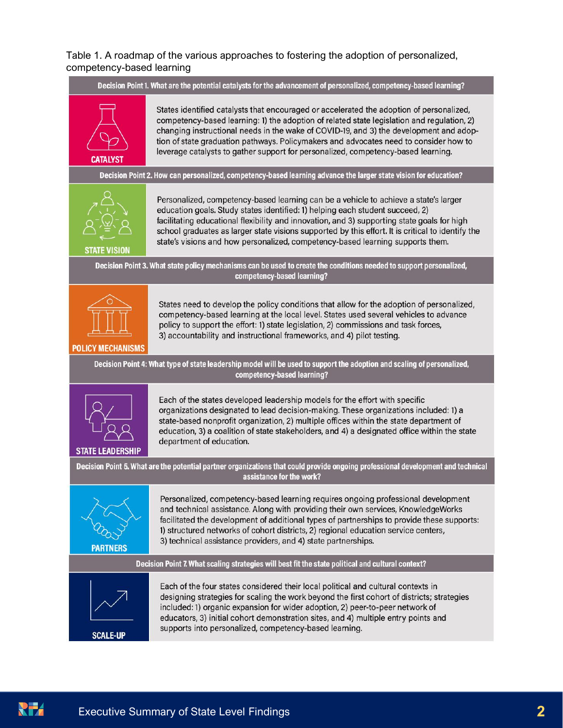#### Table 1. A roadmap of the various approaches to fostering the adoption of personalized. competency-based learning

Decision Point 1. What are the potential catalysts for the advancement of personalized, competency-based learning?



States identified catalysts that encouraged or accelerated the adoption of personalized. competency-based learning: 1) the adoption of related state legislation and regulation, 2) changing instructional needs in the wake of COVID-19, and 3) the development and adoption of state graduation pathways. Policymakers and advocates need to consider how to leverage catalysts to gather support for personalized, competency-based learning.

Decision Point 2. How can personalized, competency-based learning advance the larger state vision for education?



Personalized, competency-based learning can be a vehicle to achieve a state's larger education goals. Study states identified: 1) helping each student succeed, 2) facilitating educational flexibility and innovation, and 3) supporting state goals for high school graduates as larger state visions supported by this effort. It is critical to identify the state's visions and how personalized, competency-based learning supports them.

Decision Point 3. What state policy mechanisms can be used to create the conditions needed to support personalized, competency-based learning?



States need to develop the policy conditions that allow for the adoption of personalized, competency-based learning at the local level. States used several vehicles to advance policy to support the effort: 1) state legislation, 2) commissions and task forces, 3) accountability and instructional frameworks, and 4) pilot testing.

**POLICY MECHANISMS** 

Decision Point 4: What type of state leadership model will be used to support the adoption and scaling of personalized, competency-based learning?



Each of the states developed leadership models for the effort with specific organizations designated to lead decision-making. These organizations included: 1) a state-based nonprofit organization, 2) multiple offices within the state department of education, 3) a coalition of state stakeholders, and 4) a designated office within the state department of education.

Decision Point 5. What are the potential partner organizations that could provide ongoing professional development and technical assistance for the work?



Personalized, competency-based learning requires ongoing professional development and technical assistance. Along with providing their own services, KnowledgeWorks facilitated the development of additional types of partnerships to provide these supports: 1) structured networks of cohort districts, 2) regional education service centers, 3) technical assistance providers, and 4) state partnerships.

Decision Point 7. What scaling strategies will best fit the state political and cultural context?



Each of the four states considered their local political and cultural contexts in designing strategies for scaling the work beyond the first cohort of districts; strategies included: 1) organic expansion for wider adoption, 2) peer-to-peer network of educators, 3) initial cohort demonstration sites, and 4) multiple entry points and supports into personalized, competency-based learning.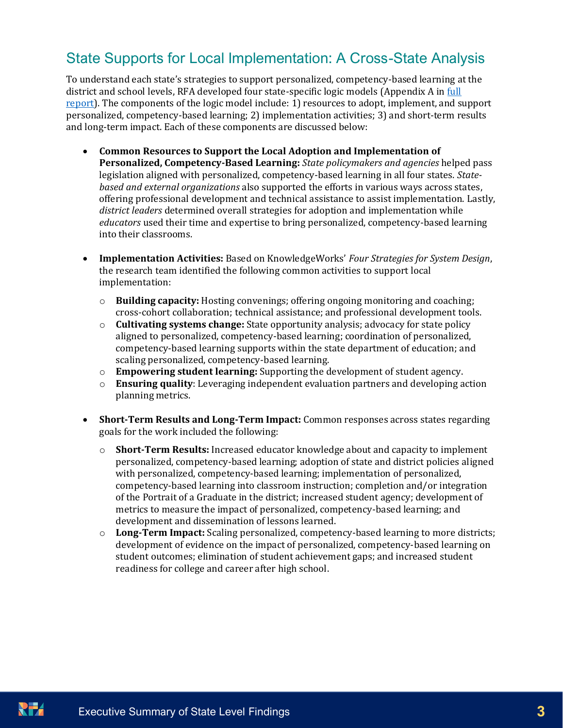## State Supports for Local Implementation: A Cross-State Analysis

To understand each state's strategies to support personalized, competency-based learning at the district and school levels, RFA developed four state-specific logic models (Appendix A in full [report\)](http://researchforaction.org/knowledgeworks-2022). The components of the logic model include: 1) resources to adopt, implement, and support personalized, competency-based learning; 2) implementation activities; 3) and short-term results and long-term impact. Each of these components are discussed below:

- **Common Resources to Support the Local Adoption and Implementation of Personalized, Competency-Based Learning:** *State policymakers and agencies* helped pass legislation aligned with personalized, competency-based learning in all four states. *Statebased and external organizations* also supported the efforts in various ways across states, offering professional development and technical assistance to assist implementation. Lastly, *district leaders* determined overall strategies for adoption and implementation while *educators* used their time and expertise to bring personalized, competency-based learning into their classrooms.
- **Implementation Activities:** Based on KnowledgeWorks' *Four Strategies for System Design*, the research team identified the following common activities to support local implementation:
	- o **Building capacity:** Hosting convenings; offering ongoing monitoring and coaching; cross-cohort collaboration; technical assistance; and professional development tools.
	- o **Cultivating systems change:** State opportunity analysis; advocacy for state policy aligned to personalized, competency-based learning; coordination of personalized, competency-based learning supports within the state department of education; and scaling personalized, competency-based learning.
	- o **Empowering student learning:** Supporting the development of student agency.
	- o **Ensuring quality**: Leveraging independent evaluation partners and developing action planning metrics.
- **Short-Term Results and Long-Term Impact:** Common responses across states regarding goals for the work included the following:
	- o **Short-Term Results:** Increased educator knowledge about and capacity to implement personalized, competency-based learning; adoption of state and district policies aligned with personalized, competency-based learning; implementation of personalized, competency-based learning into classroom instruction; completion and/or integration of the Portrait of a Graduate in the district; increased student agency; development of metrics to measure the impact of personalized, competency-based learning; and development and dissemination of lessons learned.
	- o **Long-Term Impact:** Scaling personalized, competency-based learning to more districts; development of evidence on the impact of personalized, competency-based learning on student outcomes; elimination of student achievement gaps; and increased student readiness for college and career after high school.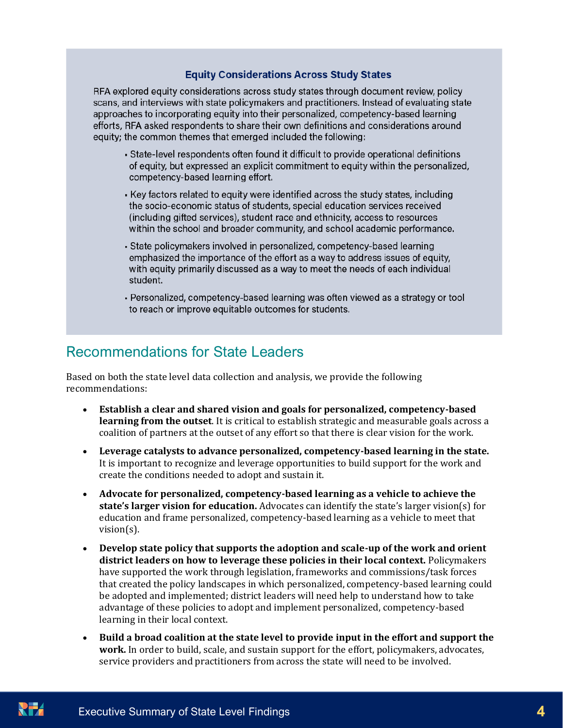#### **Equity Considerations Across Study States**

RFA explored equity considerations across study states through document review, policy scans, and interviews with state policymakers and practitioners. Instead of evaluating state approaches to incorporating equity into their personalized, competency-based learning efforts, RFA asked respondents to share their own definitions and considerations around equity; the common themes that emerged included the following:

- State-level respondents often found it difficult to provide operational definitions of equity, but expressed an explicit commitment to equity within the personalized, competency-based learning effort.
- Key factors related to equity were identified across the study states, including the socio-economic status of students, special education services received (including gifted services), student race and ethnicity, access to resources within the school and broader community, and school academic performance.
- State policymakers involved in personalized, competency-based learning emphasized the importance of the effort as a way to address issues of equity, with equity primarily discussed as a way to meet the needs of each individual student.
- Personalized, competency-based learning was often viewed as a strategy or tool to reach or improve equitable outcomes for students.

#### Recommendations for State Leaders

Based on both the state level data collection and analysis, we provide the following recommendations:

- **Establish a clear and shared vision and goals for personalized, competency-based learning from the outset**. It is critical to establish strategic and measurable goals across a coalition of partners at the outset of any effort so that there is clear vision for the work.
- **Leverage catalysts to advance personalized, competency-based learning in the state.** It is important to recognize and leverage opportunities to build support for the work and create the conditions needed to adopt and sustain it.
- **Advocate for personalized, competency-based learning as a vehicle to achieve the state's larger vision for education.** Advocates can identify the state's larger vision(s) for education and frame personalized, competency-based learning as a vehicle to meet that vision(s).
- **Develop state policy that supports the adoption and scale-up of the work and orient district leaders on how to leverage these policies in their local context.** Policymakers have supported the work through legislation, frameworks and commissions/task forces that created the policy landscapes in which personalized, competency-based learning could be adopted and implemented; district leaders will need help to understand how to take advantage of these policies to adopt and implement personalized, competency-based learning in their local context.
- **Build a broad coalition at the state level to provide input in the effort and support the work.** In order to build, scale, and sustain support for the effort, policymakers, advocates, service providers and practitioners from across the state will need to be involved.